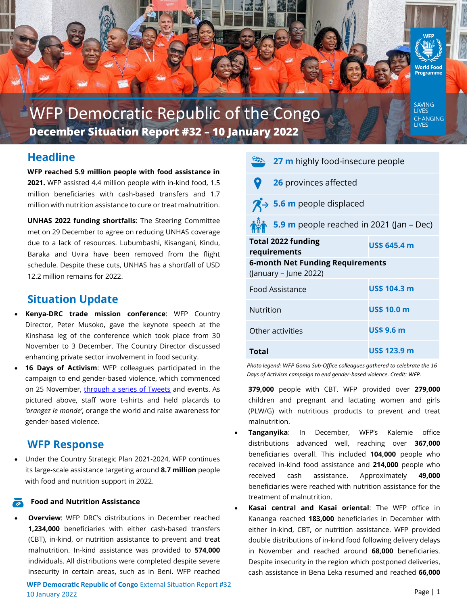

# **WFP Democratic Republic of the Congo December Situation Report #32 – 10 January 2022**

# **Headline**

**WFP reached 5.9 million people with food assistance in 2021.** WFP assisted 4.4 million people with in-kind food, 1.5 million beneficiaries with cash-based transfers and 1.7 million with nutrition assistance to cure or treat malnutrition.

**UNHAS 2022 funding shortfalls**: The Steering Committee met on 29 December to agree on reducing UNHAS coverage due to a lack of resources. Lubumbashi, Kisangani, Kindu, Baraka and Uvira have been removed from the flight schedule. Despite these cuts, UNHAS has a shortfall of USD 12.2 million remains for 2022.

# **Situation Update**

- **Kenya-DRC trade mission conference**: WFP Country Director, Peter Musoko, gave the keynote speech at the Kinshasa leg of the conference which took place from 30 November to 3 December. The Country Director discussed enhancing private sector involvement in food security.
- **16 Days of Activism**: WFP colleagues participated in the campaign to end gender-based violence, which commenced on 25 November, [through a series of Tweets](https://twitter.com/WFPDRC/status/1465683772901371914?s=20) and events. As pictured above, staff wore t-shirts and held placards to *'orangez le monde'*, orange the world and raise awareness for gender-based violence.

# **WFP Response**

• Under the Country Strategic Plan 2021-2024, WFP continues its large-scale assistance targeting around **8.7 million** people with food and nutrition support in 2022.

#### **Food and Nutrition Assistance**

**Overview:** WFP DRC's distributions in December reached **1,234,000** beneficiaries with either cash-based transfers (CBT), in-kind, or nutrition assistance to prevent and treat malnutrition. In-kind assistance was provided to **574,000**  individuals. All distributions were completed despite severe insecurity in certain areas, such as in Beni. WFP reached

**WFP Democratic Republic of Congo** External Situation Report #32 10 January 2022

|                                                                  | $\frac{322}{27}$ 27 m highly food-insecure people  |                     |
|------------------------------------------------------------------|----------------------------------------------------|---------------------|
|                                                                  | 26 provinces affected                              |                     |
|                                                                  | $\overline{A}$ > 5.6 m people displaced            |                     |
|                                                                  | <b>in</b> 5.9 m people reached in 2021 (Jan – Dec) |                     |
|                                                                  | <b>Total 2022 funding</b><br>requirements          | <b>US\$ 645.4 m</b> |
| <b>6-month Net Funding Requirements</b><br>(January – June 2022) |                                                    |                     |
| <b>Food Assistance</b>                                           |                                                    | <b>US\$ 104.3 m</b> |
| Nutrition                                                        |                                                    | <b>US\$ 10.0 m</b>  |
| Other activities                                                 |                                                    | <b>US\$ 9.6 m</b>   |
| Total                                                            |                                                    | <b>US\$ 123.9 m</b> |

*Photo legend: WFP Goma Sub-Office colleagues gathered to celebrate the 16 Days of Activism campaign to end gender-based violence. Credit: WFP.*

**379,000** people with CBT. WFP provided over **279,000**  children and pregnant and lactating women and girls (PLW/G) with nutritious products to prevent and treat malnutrition.

- **Tanganyika**: In December, WFP's Kalemie office distributions advanced well, reaching over **367,000**  beneficiaries overall. This included **104,000** people who received in-kind food assistance and **214,000** people who received cash assistance. Approximately **49,000** beneficiaries were reached with nutrition assistance for the treatment of malnutrition.
- **Kasai central and Kasai oriental**: The WFP office in Kananga reached **183,000** beneficiaries in December with either in-kind, CBT, or nutrition assistance. WFP provided double distributions of in-kind food following delivery delays in November and reached around **68,000** beneficiaries. Despite insecurity in the region which postponed deliveries, cash assistance in Bena Leka resumed and reached **66,000**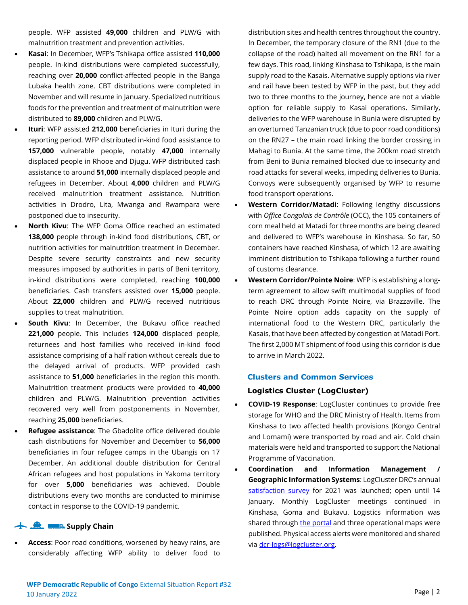people. WFP assisted **49,000** children and PLW/G with malnutrition treatment and prevention activities.

- **Kasai**: In December, WFP's Tshikapa office assisted **110,000**  people. In-kind distributions were completed successfully, reaching over **20,000** conflict-affected people in the Banga Lubaka health zone. CBT distributions were completed in November and will resume in January. Specialized nutritious foods for the prevention and treatment of malnutrition were distributed to **89,000** children and PLW/G.
- **Ituri**: WFP assisted **212,000** beneficiaries in Ituri during the reporting period. WFP distributed in-kind food assistance to **157,000** vulnerable people, notably **47,000** internally displaced people in Rhooe and Djugu. WFP distributed cash assistance to around **51,000** internally displaced people and refugees in December. About **4,000** children and PLW/G received malnutrition treatment assistance. Nutrition activities in Drodro, Lita, Mwanga and Rwampara were postponed due to insecurity.
- **North Kivu**: The WFP Goma Office reached an estimated **138,000** people through in-kind food distributions, CBT, or nutrition activities for malnutrition treatment in December. Despite severe security constraints and new security measures imposed by authorities in parts of Beni territory, in-kind distributions were completed, reaching **100,000** beneficiaries. Cash transfers assisted over **15,000** people. About **22,000** children and PLW/G received nutritious supplies to treat malnutrition.
- **South Kivu:** In December, the Bukavu office reached **221,000** people. This includes **124,000** displaced people, returnees and host families who received in-kind food assistance comprising of a half ration without cereals due to the delayed arrival of products. WFP provided cash assistance to **51,000** beneficiaries in the region this month. Malnutrition treatment products were provided to **40,000**  children and PLW/G. Malnutrition prevention activities recovered very well from postponements in November, reaching **25,000** beneficiaries.
- **Refugee assistance**: The Gbadolite office delivered double cash distributions for November and December to **56,000** beneficiaries in four refugee camps in the Ubangis on 17 December. An additional double distribution for Central African refugees and host populations in Yakoma territory for over **5,000** beneficiaries was achieved. Double distributions every two months are conducted to minimise contact in response to the COVID-19 pandemic.

#### **Supply Chain**

• **Access**: Poor road conditions, worsened by heavy rains, are considerably affecting WFP ability to deliver food to distribution sites and health centres throughout the country. In December, the temporary closure of the RN1 (due to the collapse of the road) halted all movement on the RN1 for a few days. This road, linking Kinshasa to Tshikapa, is the main supply road to the Kasais. Alternative supply options via river and rail have been tested by WFP in the past, but they add two to three months to the journey, hence are not a viable option for reliable supply to Kasai operations. Similarly, deliveries to the WFP warehouse in Bunia were disrupted by an overturned Tanzanian truck (due to poor road conditions) on the RN27 – the main road linking the border crossing in Mahagi to Bunia. At the same time, the 200km road stretch from Beni to Bunia remained blocked due to insecurity and road attacks for several weeks, impeding deliveries to Bunia. Convoys were subsequently organised by WFP to resume food transport operations.

- **Western Corridor/Matadi**: Following lengthy discussions with *Office Congolais de Contrôle* (OCC), the 105 containers of corn meal held at Matadi for three months are being cleared and delivered to WFP's warehouse in Kinshasa. So far, 50 containers have reached Kinshasa, of which 12 are awaiting imminent distribution to Tshikapa following a further round of customs clearance.
- **Western Corridor/Pointe Noire**: WFP is establishing a longterm agreement to allow swift multimodal supplies of food to reach DRC through Pointe Noire, via Brazzaville. The Pointe Noire option adds capacity on the supply of international food to the Western DRC, particularly the Kasais, that have been affected by congestion at Matadi Port. The first 2,000 MT shipment of food using this corridor is due to arrive in March 2022.

#### **Clusters and Common Services**

#### **Logistics Cluster (LogCluster)**

- **COVID-19 Response**: LogCluster continues to provide free storage for WHO and the DRC Ministry of Health. Items from Kinshasa to two affected health provisions (Kongo Central and Lomami) were transported by road and air. Cold chain materials were held and transported to support the National Programme of Vaccination.
- **Coordination and Information Management / Geographic Information Systems**: LogCluster DRC's annual [satisfaction survey](https://enketo.moda.wfp.org/single/3492a28c452f6e6db480a3eb4c307232) for 2021 was launched; open until 14 January. Monthly LogCluster meetings continued in Kinshasa, Goma and Bukavu. Logistics information was shared throug[h the portal](https://logcluster.org/ops/drc) and three operational maps were published. Physical access alerts were monitored and shared via [dcr-logs@logcluster.org.](mailto:dcr-logs@logcluster.org)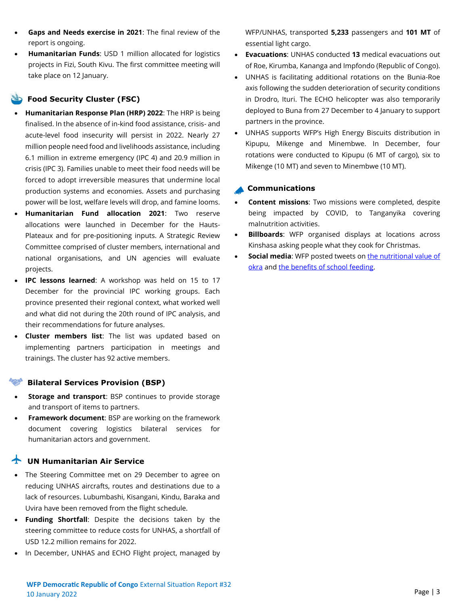**WFP Democratic Republic of Congo** External Situation Report #32 10 January 2022

- **Gaps and Needs exercise in 2021**: The final review of the report is ongoing.
- **Humanitarian Funds**: USD 1 million allocated for logistics projects in Fizi, South Kivu. The first committee meeting will take place on 12 January.

#### **Food Security Cluster (FSC)**

- **Humanitarian Response Plan (HRP) 2022**: The HRP is being finalised. In the absence of in-kind food assistance, crisis- and acute-level food insecurity will persist in 2022. Nearly 27 million people need food and livelihoods assistance, including 6.1 million in extreme emergency (IPC 4) and 20.9 million in crisis (IPC 3). Families unable to meet their food needs will be forced to adopt irreversible measures that undermine local production systems and economies. Assets and purchasing power will be lost, welfare levels will drop, and famine looms.
- **Humanitarian Fund allocation 2021**: Two reserve allocations were launched in December for the Hauts-Plateaux and for pre-positioning inputs. A Strategic Review Committee comprised of cluster members, international and national organisations, and UN agencies will evaluate projects.
- **IPC lessons learned**: A workshop was held on 15 to 17 December for the provincial IPC working groups. Each province presented their regional context, what worked well and what did not during the 20th round of IPC analysis, and their recommendations for future analyses.
- **Cluster members list**: The list was updated based on implementing partners participation in meetings and trainings. The cluster has 92 active members.

#### **Bilateral Services Provision (BSP)**

- **Storage and transport: BSP continues to provide storage** and transport of items to partners.
- **Framework document**: BSP are working on the framework document covering logistics bilateral services for humanitarian actors and government.

### **The UN Humanitarian Air Service**

- The Steering Committee met on 29 December to agree on reducing UNHAS aircrafts, routes and destinations due to a lack of resources. Lubumbashi, Kisangani, Kindu, Baraka and Uvira have been removed from the flight schedule.
- **Funding Shortfall**: Despite the decisions taken by the steering committee to reduce costs for UNHAS, a shortfall of USD 12.2 million remains for 2022.
- In December, UNHAS and ECHO Flight project, managed by

WFP/UNHAS, transported **5,233** passengers and **101 MT** of essential light cargo.

- **Evacuations**: UNHAS conducted **13** medical evacuations out of Roe, Kirumba, Kananga and Impfondo (Republic of Congo).
- UNHAS is facilitating additional rotations on the Bunia-Roe axis following the sudden deterioration of security conditions in Drodro, Ituri. The ECHO helicopter was also temporarily deployed to Buna from 27 December to 4 January to support partners in the province.
- UNHAS supports WFP's High Energy Biscuits distribution in Kipupu, Mikenge and Minembwe. In December, four rotations were conducted to Kipupu (6 MT of cargo), six to Mikenge (10 MT) and seven to Minembwe (10 MT).

#### **Communications**

- **Content missions**: Two missions were completed, despite being impacted by COVID, to Tanganyika covering malnutrition activities.
- **Billboards**: WFP organised displays at locations across Kinshasa asking people what they cook for Christmas.
- **Social media**: WFP posted tweets on the nutritional value of [okra](https://twitter.com/WFPDRC/status/1477680638190919685?s=20) and [the benefits of school feeding.](https://twitter.com/WFPDRC/status/1478622882184015872?s=20)